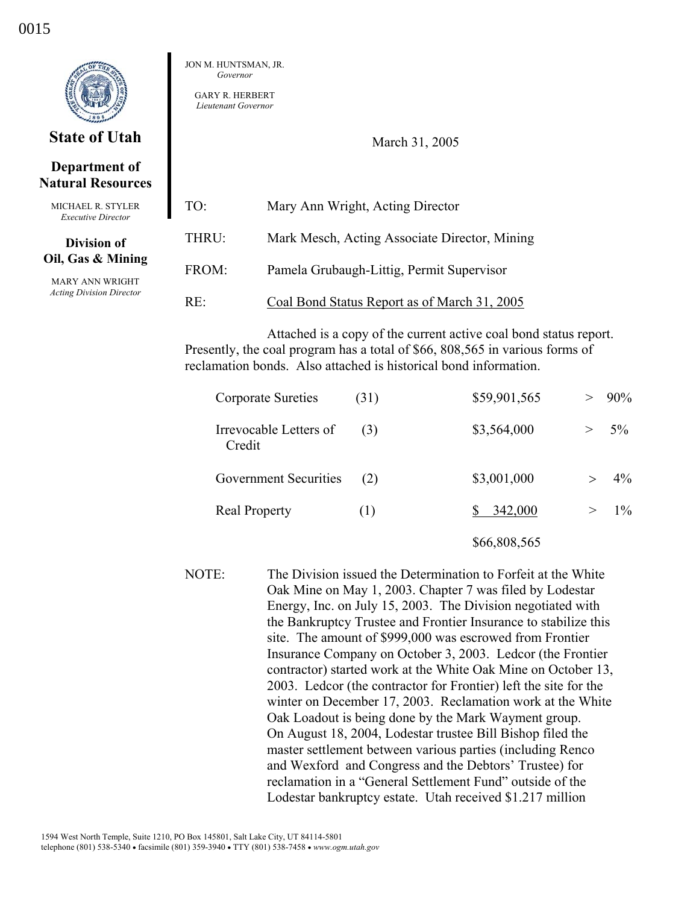

# **State of Utah**

## **Department of Natural Resources**

MICHAEL R. STYLER *Executive Director* 

#### **Division of Oil, Gas & Mining**

MARY ANN WRIGHT *Acting Division Director*  JON M. HUNTSMAN, JR. *Governor* 

GARY R. HERBERT *Lieutenant Governor* 

March 31, 2005

| TO <sup>1</sup> | Mary Ann Wright, Acting Director              |
|-----------------|-----------------------------------------------|
| THRU:           | Mark Mesch, Acting Associate Director, Mining |
| FROM:           | Pamela Grubaugh-Littig, Permit Supervisor     |
| RE∸             | Coal Bond Status Report as of March 31, 2005  |

Attached is a copy of the current active coal bond status report. Presently, the coal program has a total of \$66, 808,565 in various forms of reclamation bonds. Also attached is historical bond information.

| Corporate Sureties               | (31) | \$59,901,565 |   | $> 90\%$ |
|----------------------------------|------|--------------|---|----------|
| Irrevocable Letters of<br>Credit | (3)  | \$3,564,000  | > | 5%       |
| Government Securities            | (2)  | \$3,001,000  |   | $4\%$    |
| <b>Real Property</b>             | (1)  | 342,000      | > | $1\%$    |
|                                  |      | \$66,808,565 |   |          |

NOTE: The Division issued the Determination to Forfeit at the White Oak Mine on May 1, 2003. Chapter 7 was filed by Lodestar Energy, Inc. on July 15, 2003. The Division negotiated with the Bankruptcy Trustee and Frontier Insurance to stabilize this site. The amount of \$999,000 was escrowed from Frontier Insurance Company on October 3, 2003. Ledcor (the Frontier contractor) started work at the White Oak Mine on October 13, 2003. Ledcor (the contractor for Frontier) left the site for the winter on December 17, 2003. Reclamation work at the White Oak Loadout is being done by the Mark Wayment group. On August 18, 2004, Lodestar trustee Bill Bishop filed the master settlement between various parties (including Renco and Wexford and Congress and the Debtors' Trustee) for reclamation in a "General Settlement Fund" outside of the Lodestar bankruptcy estate. Utah received \$1.217 million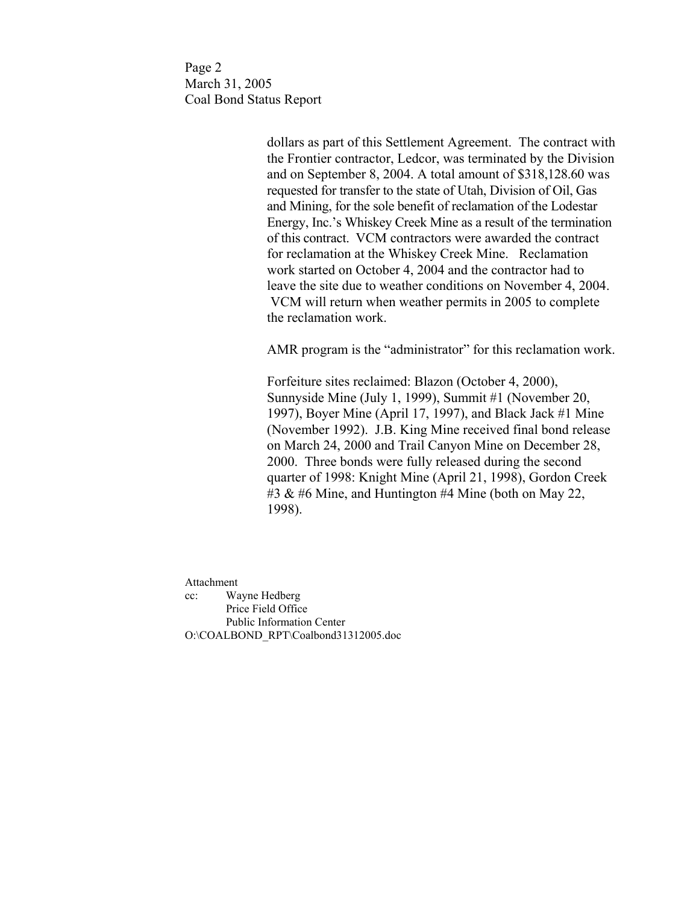Page 2 March 31, 2005 Coal Bond Status Report

> dollars as part of this Settlement Agreement. The contract with the Frontier contractor, Ledcor, was terminated by the Division and on September 8, 2004. A total amount of \$318,128.60 was requested for transfer to the state of Utah, Division of Oil, Gas and Mining, for the sole benefit of reclamation of the Lodestar Energy, Inc.'s Whiskey Creek Mine as a result of the termination of this contract. VCM contractors were awarded the contract for reclamation at the Whiskey Creek Mine. Reclamation work started on October 4, 2004 and the contractor had to leave the site due to weather conditions on November 4, 2004. VCM will return when weather permits in 2005 to complete the reclamation work.

> AMR program is the "administrator" for this reclamation work.

 Forfeiture sites reclaimed: Blazon (October 4, 2000), Sunnyside Mine (July 1, 1999), Summit #1 (November 20, 1997), Boyer Mine (April 17, 1997), and Black Jack #1 Mine (November 1992). J.B. King Mine received final bond release on March 24, 2000 and Trail Canyon Mine on December 28, 2000. Three bonds were fully released during the second quarter of 1998: Knight Mine (April 21, 1998), Gordon Creek #3  $\&$  #6 Mine, and Huntington #4 Mine (both on May 22, 1998).

Attachment cc: Wayne Hedberg Price Field Office Public Information Center O:\COALBOND\_RPT\Coalbond31312005.doc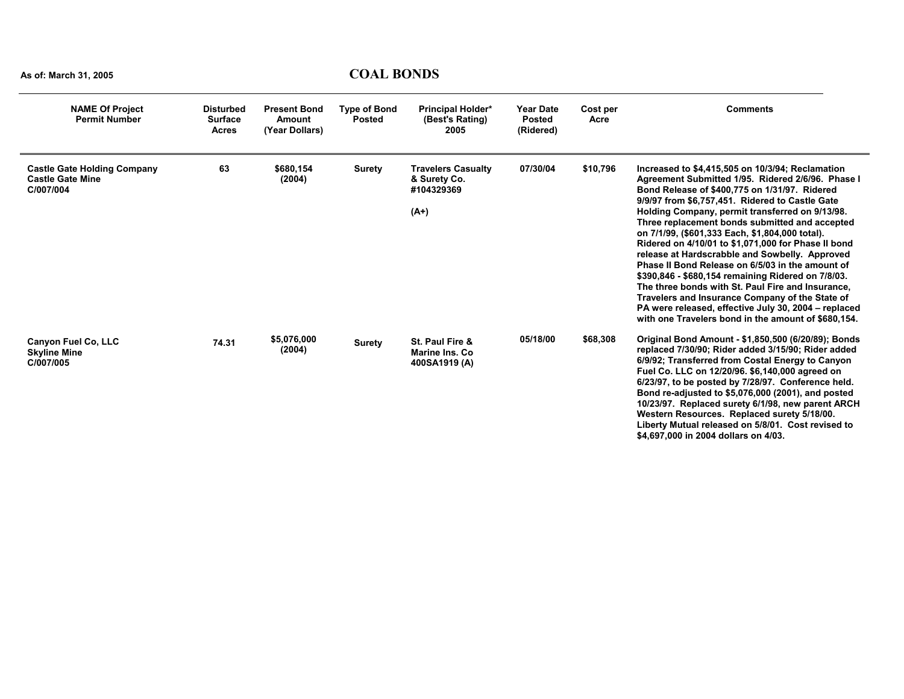| <b>NAME Of Project</b><br><b>Permit Number</b>                             | <b>Disturbed</b><br><b>Surface</b><br><b>Acres</b> | <b>Present Bond</b><br><b>Amount</b><br>(Year Dollars) | <b>Type of Bond</b><br><b>Posted</b> | <b>Principal Holder*</b><br>(Best's Rating)<br>2005               | <b>Year Date</b><br><b>Posted</b><br>(Ridered) | Cost per<br>Acre | <b>Comments</b>                                                                                                                                                                                                                                                                                                                                                                                                                                                                                                                                                                                                                                                                                                                                                                                             |
|----------------------------------------------------------------------------|----------------------------------------------------|--------------------------------------------------------|--------------------------------------|-------------------------------------------------------------------|------------------------------------------------|------------------|-------------------------------------------------------------------------------------------------------------------------------------------------------------------------------------------------------------------------------------------------------------------------------------------------------------------------------------------------------------------------------------------------------------------------------------------------------------------------------------------------------------------------------------------------------------------------------------------------------------------------------------------------------------------------------------------------------------------------------------------------------------------------------------------------------------|
| <b>Castle Gate Holding Company</b><br><b>Castle Gate Mine</b><br>C/007/004 | 63                                                 | \$680,154<br>(2004)                                    | Surety                               | <b>Travelers Casualty</b><br>& Surety Co.<br>#104329369<br>$(A+)$ | 07/30/04                                       | \$10,796         | Increased to \$4,415,505 on 10/3/94; Reclamation<br>Agreement Submitted 1/95. Ridered 2/6/96. Phase I<br>Bond Release of \$400.775 on 1/31/97. Ridered<br>9/9/97 from \$6,757,451. Ridered to Castle Gate<br>Holding Company, permit transferred on 9/13/98.<br>Three replacement bonds submitted and accepted<br>on 7/1/99, (\$601,333 Each, \$1,804,000 total).<br>Ridered on 4/10/01 to \$1,071,000 for Phase II bond<br>release at Hardscrabble and Sowbelly. Approved<br>Phase II Bond Release on 6/5/03 in the amount of<br>\$390,846 - \$680,154 remaining Ridered on 7/8/03.<br>The three bonds with St. Paul Fire and Insurance.<br>Travelers and Insurance Company of the State of<br>PA were released, effective July 30, 2004 - replaced<br>with one Travelers bond in the amount of \$680.154. |
| <b>Canyon Fuel Co, LLC</b><br><b>Skyline Mine</b><br>C/007/005             | 74.31                                              | \$5,076,000<br>(2004)                                  | <b>Surety</b>                        | St. Paul Fire &<br>Marine Ins. Co.<br>400SA1919 (A)               | 05/18/00                                       | \$68,308         | Original Bond Amount - \$1,850,500 (6/20/89); Bonds<br>replaced 7/30/90; Rider added 3/15/90; Rider added<br>6/9/92; Transferred from Costal Energy to Canyon<br>Fuel Co. LLC on 12/20/96. \$6,140,000 agreed on<br>6/23/97, to be posted by 7/28/97. Conference held.<br>Bond re-adjusted to \$5,076,000 (2001), and posted<br>10/23/97. Replaced surety 6/1/98, new parent ARCH<br>Western Resources. Replaced surety 5/18/00.<br>Liberty Mutual released on 5/8/01. Cost revised to<br>\$4,697,000 in 2004 dollars on 4/03.                                                                                                                                                                                                                                                                              |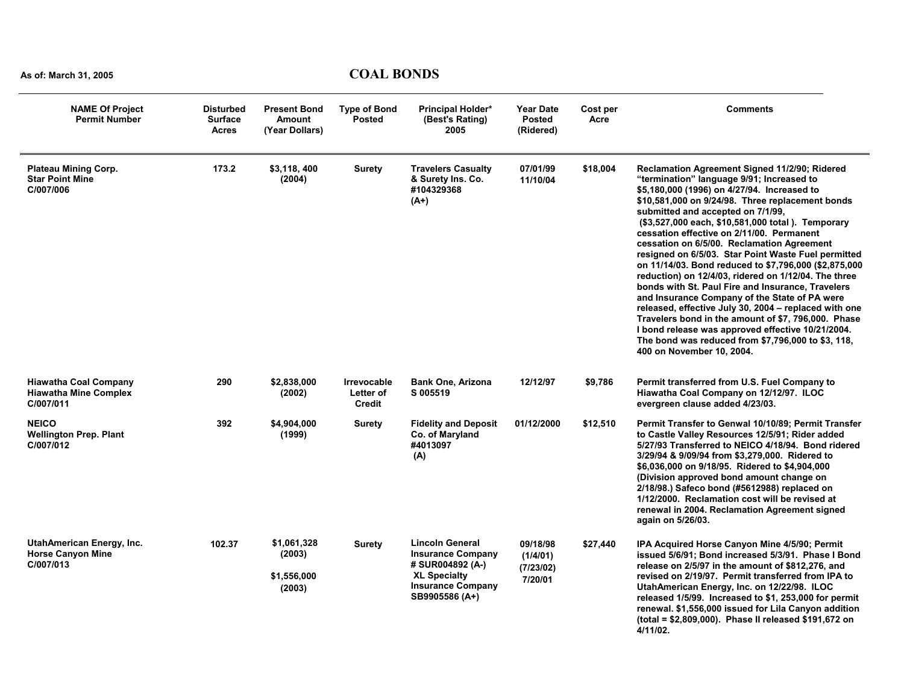| <b>NAME Of Project</b><br><b>Permit Number</b>                            | <b>Disturbed</b><br><b>Surface</b><br><b>Acres</b> | <b>Present Bond</b><br><b>Amount</b><br>(Year Dollars) | <b>Type of Bond</b><br><b>Posted</b>      | Principal Holder*<br>(Best's Rating)<br>2005                                                                                                | <b>Year Date</b><br><b>Posted</b><br>(Ridered) | Cost per<br>Acre | <b>Comments</b>                                                                                                                                                                                                                                                                                                                                                                                                                                                                                                                                                                                                                                                                                                                                                                                                                                                                                                          |
|---------------------------------------------------------------------------|----------------------------------------------------|--------------------------------------------------------|-------------------------------------------|---------------------------------------------------------------------------------------------------------------------------------------------|------------------------------------------------|------------------|--------------------------------------------------------------------------------------------------------------------------------------------------------------------------------------------------------------------------------------------------------------------------------------------------------------------------------------------------------------------------------------------------------------------------------------------------------------------------------------------------------------------------------------------------------------------------------------------------------------------------------------------------------------------------------------------------------------------------------------------------------------------------------------------------------------------------------------------------------------------------------------------------------------------------|
| <b>Plateau Mining Corp.</b><br><b>Star Point Mine</b><br>C/007/006        | 173.2                                              | \$3,118,400<br>(2004)                                  | <b>Surety</b>                             | <b>Travelers Casualty</b><br>& Surety Ins. Co.<br>#104329368<br>$(A+)$                                                                      | 07/01/99<br>11/10/04                           | \$18,004         | Reclamation Agreement Signed 11/2/90; Ridered<br>"termination" language 9/91; Increased to<br>\$5,180,000 (1996) on 4/27/94. Increased to<br>\$10,581,000 on 9/24/98. Three replacement bonds<br>submitted and accepted on 7/1/99,<br>(\$3,527,000 each, \$10,581,000 total). Temporary<br>cessation effective on 2/11/00. Permanent<br>cessation on 6/5/00. Reclamation Agreement<br>resigned on 6/5/03. Star Point Waste Fuel permitted<br>on 11/14/03. Bond reduced to \$7,796,000 (\$2,875,000<br>reduction) on 12/4/03, ridered on 1/12/04. The three<br>bonds with St. Paul Fire and Insurance, Travelers<br>and Insurance Company of the State of PA were<br>released, effective July 30, 2004 - replaced with one<br>Travelers bond in the amount of \$7, 796,000. Phase<br>I bond release was approved effective 10/21/2004.<br>The bond was reduced from \$7,796,000 to \$3, 118,<br>400 on November 10, 2004. |
| <b>Hiawatha Coal Company</b><br><b>Hiawatha Mine Complex</b><br>C/007/011 | 290                                                | \$2,838,000<br>(2002)                                  | Irrevocable<br>Letter of<br><b>Credit</b> | <b>Bank One, Arizona</b><br>S 005519                                                                                                        | 12/12/97                                       | \$9,786          | Permit transferred from U.S. Fuel Company to<br>Hiawatha Coal Company on 12/12/97. ILOC<br>evergreen clause added 4/23/03.                                                                                                                                                                                                                                                                                                                                                                                                                                                                                                                                                                                                                                                                                                                                                                                               |
| <b>NEICO</b><br><b>Wellington Prep. Plant</b><br>C/007/012                | 392                                                | \$4,904,000<br>(1999)                                  | <b>Surety</b>                             | <b>Fidelity and Deposit</b><br>Co. of Maryland<br>#4013097<br>(A)                                                                           | 01/12/2000                                     | \$12,510         | Permit Transfer to Genwal 10/10/89; Permit Transfer<br>to Castle Valley Resources 12/5/91; Rider added<br>5/27/93 Transferred to NEICO 4/18/94. Bond ridered<br>3/29/94 & 9/09/94 from \$3,279,000. Ridered to<br>\$6,036,000 on 9/18/95. Ridered to \$4,904,000<br>(Division approved bond amount change on<br>2/18/98.) Safeco bond (#5612988) replaced on<br>1/12/2000. Reclamation cost will be revised at<br>renewal in 2004. Reclamation Agreement signed<br>again on 5/26/03.                                                                                                                                                                                                                                                                                                                                                                                                                                     |
| <b>UtahAmerican Energy, Inc.</b><br><b>Horse Canyon Mine</b><br>C/007/013 | 102.37                                             | \$1.061.328<br>(2003)<br>\$1,556,000<br>(2003)         | <b>Surety</b>                             | <b>Lincoln General</b><br><b>Insurance Company</b><br># SUR004892 (A-)<br><b>XL Specialty</b><br><b>Insurance Company</b><br>SB9905586 (A+) | 09/18/98<br>(1/4/01)<br>(7/23/02)<br>7/20/01   | \$27,440         | IPA Acquired Horse Canyon Mine 4/5/90; Permit<br>issued 5/6/91; Bond increased 5/3/91. Phase I Bond<br>release on 2/5/97 in the amount of \$812,276, and<br>revised on 2/19/97. Permit transferred from IPA to<br>UtahAmerican Energy, Inc. on 12/22/98. ILOC<br>released 1/5/99. Increased to \$1, 253,000 for permit<br>renewal. \$1,556,000 issued for Lila Canyon addition<br>(total = \$2,809,000). Phase II released \$191,672 on<br>4/11/02.                                                                                                                                                                                                                                                                                                                                                                                                                                                                      |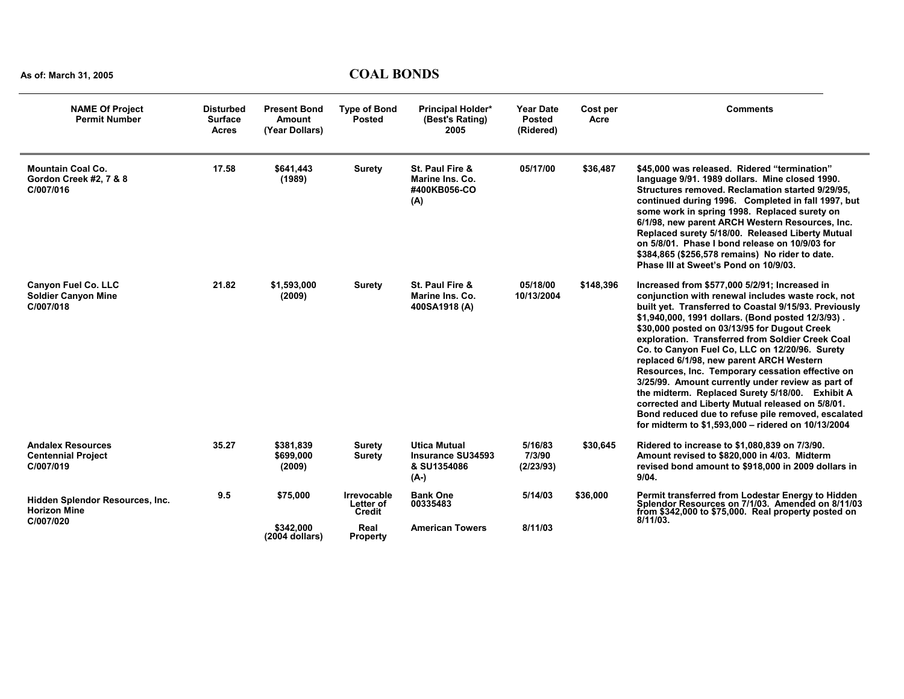| <b>NAME Of Project</b><br><b>Permit Number</b>                        | <b>Disturbed</b><br><b>Surface</b><br><b>Acres</b> | <b>Present Bond</b><br><b>Amount</b><br>(Year Dollars) | <b>Type of Bond</b><br><b>Posted</b> | <b>Principal Holder*</b><br>(Best's Rating)<br>2005             | <b>Year Date</b><br><b>Posted</b><br>(Ridered) | Cost per<br>Acre | <b>Comments</b>                                                                                                                                                                                                                                                                                                                                                                                                                                                                                                                                                                                                                                                                                                                                |
|-----------------------------------------------------------------------|----------------------------------------------------|--------------------------------------------------------|--------------------------------------|-----------------------------------------------------------------|------------------------------------------------|------------------|------------------------------------------------------------------------------------------------------------------------------------------------------------------------------------------------------------------------------------------------------------------------------------------------------------------------------------------------------------------------------------------------------------------------------------------------------------------------------------------------------------------------------------------------------------------------------------------------------------------------------------------------------------------------------------------------------------------------------------------------|
| <b>Mountain Coal Co.</b><br>Gordon Creek #2, 7 & 8<br>C/007/016       | 17.58                                              | \$641,443<br>(1989)                                    | <b>Surety</b>                        | St. Paul Fire &<br>Marine Ins. Co.<br>#400KB056-CO<br>(A)       | 05/17/00                                       | \$36,487         | \$45,000 was released. Ridered "termination"<br>language 9/91, 1989 dollars. Mine closed 1990.<br>Structures removed. Reclamation started 9/29/95.<br>continued during 1996. Completed in fall 1997, but<br>some work in spring 1998. Replaced surety on<br>6/1/98, new parent ARCH Western Resources, Inc.<br>Replaced surety 5/18/00. Released Liberty Mutual<br>on 5/8/01. Phase I bond release on 10/9/03 for<br>\$384,865 (\$256,578 remains) No rider to date.<br>Phase III at Sweet's Pond on 10/9/03.                                                                                                                                                                                                                                  |
| <b>Canyon Fuel Co. LLC</b><br><b>Soldier Canyon Mine</b><br>C/007/018 | 21.82                                              | \$1,593,000<br>(2009)                                  | <b>Surety</b>                        | St. Paul Fire &<br>Marine Ins. Co.<br>400SA1918 (A)             | 05/18/00<br>10/13/2004                         | \$148,396        | Increased from \$577,000 5/2/91; Increased in<br>conjunction with renewal includes waste rock, not<br>built yet. Transferred to Coastal 9/15/93. Previously<br>\$1,940,000, 1991 dollars. (Bond posted 12/3/93).<br>\$30,000 posted on 03/13/95 for Dugout Creek<br>exploration. Transferred from Soldier Creek Coal<br>Co. to Canyon Fuel Co, LLC on 12/20/96. Surety<br>replaced 6/1/98, new parent ARCH Western<br>Resources, Inc. Temporary cessation effective on<br>3/25/99. Amount currently under review as part of<br>the midterm. Replaced Surety 5/18/00. Exhibit A<br>corrected and Liberty Mutual released on 5/8/01.<br>Bond reduced due to refuse pile removed, escalated<br>for midterm to \$1,593,000 - ridered on 10/13/2004 |
| <b>Andalex Resources</b><br><b>Centennial Project</b><br>C/007/019    | 35.27                                              | \$381,839<br>\$699,000<br>(2009)                       | <b>Surety</b><br><b>Surety</b>       | <b>Utica Mutual</b><br>Insurance SU34593<br>& SU1354086<br>(A-) | 5/16/83<br>7/3/90<br>(2/23/93)                 | \$30,645         | Ridered to increase to \$1,080,839 on 7/3/90.<br>Amount revised to \$820,000 in 4/03. Midterm<br>revised bond amount to \$918,000 in 2009 dollars in<br>9/04.                                                                                                                                                                                                                                                                                                                                                                                                                                                                                                                                                                                  |
| Hidden Splendor Resources, Inc.<br><b>Horizon Mine</b>                | 9.5                                                | \$75,000                                               | Irrevocable<br>Letter of<br>Credit   | <b>Bank One</b><br>00335483                                     | 5/14/03                                        | \$36,000         | Permit transferred from Lodestar Energy to Hidden<br>Splendor Resources on 7/1/03. Amended on 8/11/03<br>from \$342,000 to \$75,000. Real property posted on                                                                                                                                                                                                                                                                                                                                                                                                                                                                                                                                                                                   |
| C/007/020                                                             |                                                    | \$342.000<br>$(2004$ dollars)                          | Real<br><b>Property</b>              | <b>American Towers</b>                                          | 8/11/03                                        |                  | $8/11/03$ .                                                                                                                                                                                                                                                                                                                                                                                                                                                                                                                                                                                                                                                                                                                                    |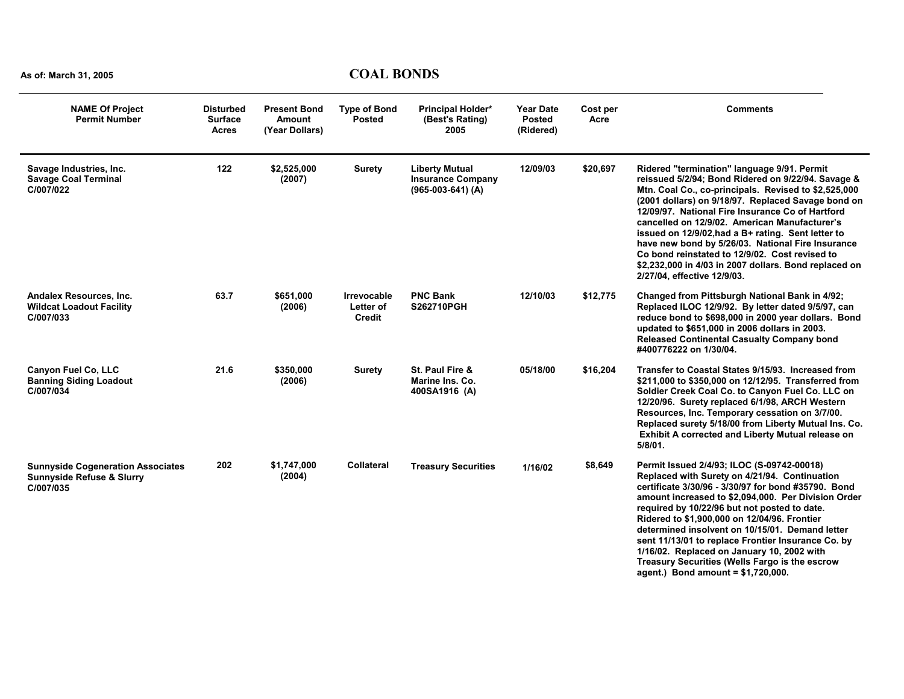| <b>NAME Of Project</b><br><b>Permit Number</b>                                                | <b>Disturbed</b><br><b>Surface</b><br><b>Acres</b> | <b>Present Bond</b><br>Amount<br>(Year Dollars) | <b>Type of Bond</b><br><b>Posted</b>             | Principal Holder*<br>(Best's Rating)<br>2005                             | <b>Year Date</b><br><b>Posted</b><br>(Ridered) | Cost per<br>Acre | <b>Comments</b>                                                                                                                                                                                                                                                                                                                                                                                                                                                                                                                                                           |
|-----------------------------------------------------------------------------------------------|----------------------------------------------------|-------------------------------------------------|--------------------------------------------------|--------------------------------------------------------------------------|------------------------------------------------|------------------|---------------------------------------------------------------------------------------------------------------------------------------------------------------------------------------------------------------------------------------------------------------------------------------------------------------------------------------------------------------------------------------------------------------------------------------------------------------------------------------------------------------------------------------------------------------------------|
| Savage Industries, Inc.<br><b>Savage Coal Terminal</b><br>C/007/022                           | 122                                                | \$2,525,000<br>(2007)                           | <b>Surety</b>                                    | <b>Liberty Mutual</b><br><b>Insurance Company</b><br>$(965-003-641)$ (A) | 12/09/03                                       | \$20,697         | Ridered "termination" language 9/91. Permit<br>reissued 5/2/94; Bond Ridered on 9/22/94. Savage &<br>Mtn. Coal Co., co-principals. Revised to \$2,525,000<br>(2001 dollars) on 9/18/97. Replaced Savage bond on<br>12/09/97. National Fire Insurance Co of Hartford<br>cancelled on 12/9/02. American Manufacturer's<br>issued on 12/9/02, had a B+ rating. Sent letter to<br>have new bond by 5/26/03. National Fire Insurance<br>Co bond reinstated to 12/9/02. Cost revised to<br>\$2,232,000 in 4/03 in 2007 dollars. Bond replaced on<br>2/27/04, effective 12/9/03. |
| Andalex Resources, Inc.<br><b>Wildcat Loadout Facility</b><br>C/007/033                       | 63.7                                               | \$651,000<br>(2006)                             | <b>Irrevocable</b><br>Letter of<br><b>Credit</b> | <b>PNC Bank</b><br><b>S262710PGH</b>                                     | 12/10/03                                       | \$12,775         | Changed from Pittsburgh National Bank in 4/92;<br>Replaced ILOC 12/9/92. By letter dated 9/5/97, can<br>reduce bond to \$698,000 in 2000 year dollars. Bond<br>updated to \$651,000 in 2006 dollars in 2003.<br><b>Released Continental Casualty Company bond</b><br>#400776222 on 1/30/04.                                                                                                                                                                                                                                                                               |
| <b>Canyon Fuel Co. LLC</b><br><b>Banning Siding Loadout</b><br>C/007/034                      | 21.6                                               | \$350,000<br>(2006)                             | <b>Surety</b>                                    | St. Paul Fire &<br>Marine Ins. Co.<br>400SA1916 (A)                      | 05/18/00                                       | \$16,204         | Transfer to Coastal States 9/15/93. Increased from<br>\$211,000 to \$350,000 on 12/12/95. Transferred from<br>Soldier Creek Coal Co. to Canyon Fuel Co. LLC on<br>12/20/96. Surety replaced 6/1/98, ARCH Western<br>Resources, Inc. Temporary cessation on 3/7/00.<br>Replaced surety 5/18/00 from Liberty Mutual Ins. Co.<br>Exhibit A corrected and Liberty Mutual release on<br>$5/8/01$ .                                                                                                                                                                             |
| <b>Sunnyside Cogeneration Associates</b><br><b>Sunnyside Refuse &amp; Slurry</b><br>C/007/035 | 202                                                | \$1,747,000<br>(2004)                           | <b>Collateral</b>                                | <b>Treasury Securities</b>                                               | 1/16/02                                        | \$8,649          | Permit Issued 2/4/93; ILOC (S-09742-00018)<br>Replaced with Surety on 4/21/94. Continuation<br>certificate 3/30/96 - 3/30/97 for bond #35790. Bond<br>amount increased to \$2,094,000. Per Division Order<br>required by 10/22/96 but not posted to date.<br>Ridered to \$1,900,000 on 12/04/96. Frontier<br>determined insolvent on 10/15/01. Demand letter<br>sent 11/13/01 to replace Frontier Insurance Co. by<br>1/16/02. Replaced on January 10, 2002 with<br>Treasury Securities (Wells Fargo is the escrow<br>agent.) Bond amount = $$1,720,000$ .                |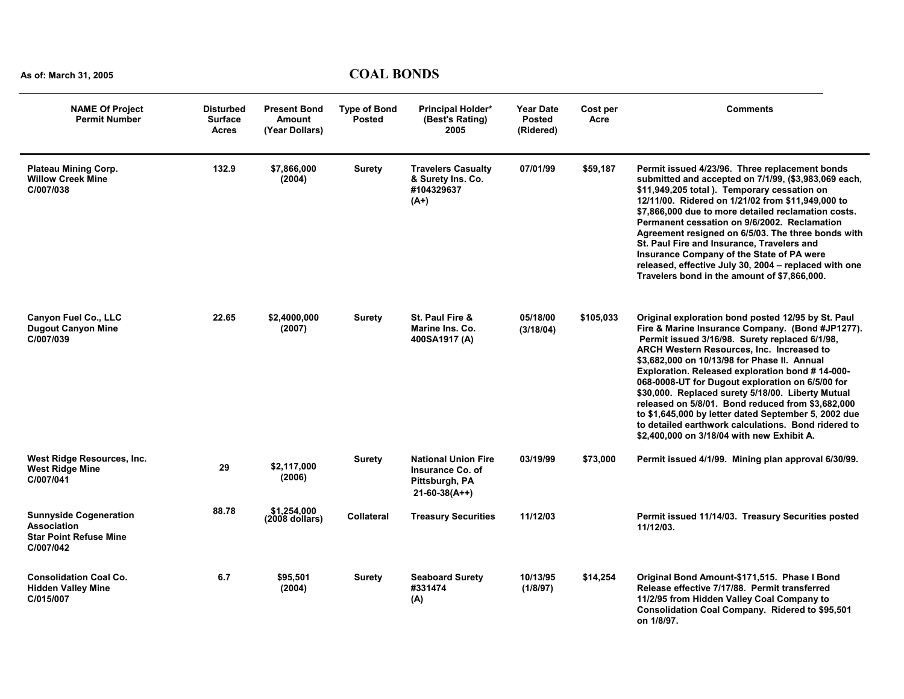| <b>NAME Of Project</b><br><b>Permit Number</b>                                                    | <b>Disturbed</b><br><b>Surface</b><br><b>Acres</b> | <b>Present Bond</b><br>Amount<br>(Year Dollars) | <b>Type of Bond</b><br><b>Posted</b> | Principal Holder*<br>(Best's Rating)<br>2005                                        | <b>Year Date</b><br><b>Posted</b><br>(Ridered) | Cost per<br>Acre | Comments                                                                                                                                                                                                                                                                                                                                                                                                                                                                                                                                                                                                                                   |
|---------------------------------------------------------------------------------------------------|----------------------------------------------------|-------------------------------------------------|--------------------------------------|-------------------------------------------------------------------------------------|------------------------------------------------|------------------|--------------------------------------------------------------------------------------------------------------------------------------------------------------------------------------------------------------------------------------------------------------------------------------------------------------------------------------------------------------------------------------------------------------------------------------------------------------------------------------------------------------------------------------------------------------------------------------------------------------------------------------------|
| <b>Plateau Mining Corp.</b><br><b>Willow Creek Mine</b><br>C/007/038                              | 132.9                                              | \$7,866,000<br>(2004)                           | <b>Surety</b>                        | <b>Travelers Casualty</b><br>& Surety Ins. Co.<br>#104329637<br>$(A+)$              | 07/01/99                                       | \$59,187         | Permit issued 4/23/96. Three replacement bonds<br>submitted and accepted on 7/1/99, (\$3,983,069 each,<br>\$11,949,205 total ). Temporary cessation on<br>12/11/00. Ridered on 1/21/02 from \$11,949,000 to<br>\$7,866,000 due to more detailed reclamation costs.<br>Permanent cessation on 9/6/2002. Reclamation<br>Agreement resigned on 6/5/03. The three bonds with<br>St. Paul Fire and Insurance, Travelers and<br>Insurance Company of the State of PA were<br>released, effective July 30, 2004 - replaced with one<br>Travelers bond in the amount of \$7,866,000.                                                               |
| <b>Canyon Fuel Co., LLC</b><br><b>Dugout Canyon Mine</b><br>C/007/039                             | 22.65                                              | \$2,4000,000<br>(2007)                          | <b>Surety</b>                        | St. Paul Fire &<br>Marine Ins. Co.<br>400SA1917 (A)                                 | 05/18/00<br>(3/18/04)                          | \$105,033        | Original exploration bond posted 12/95 by St. Paul<br>Fire & Marine Insurance Company. (Bond #JP1277).<br>Permit issued 3/16/98. Surety replaced 6/1/98,<br><b>ARCH Western Resources, Inc. Increased to</b><br>\$3,682,000 on 10/13/98 for Phase II. Annual<br>Exploration. Released exploration bond #14-000-<br>068-0008-UT for Dugout exploration on 6/5/00 for<br>\$30,000. Replaced surety 5/18/00. Liberty Mutual<br>released on 5/8/01. Bond reduced from \$3,682,000<br>to \$1,645,000 by letter dated September 5, 2002 due<br>to detailed earthwork calculations. Bond ridered to<br>\$2,400,000 on 3/18/04 with new Exhibit A. |
| West Ridge Resources, Inc.<br><b>West Ridge Mine</b><br>C/007/041                                 | 29                                                 | \$2,117,000<br>(2006)                           | Surety                               | <b>National Union Fire</b><br>Insurance Co. of<br>Pittsburgh, PA<br>$21-60-38(A++)$ | 03/19/99                                       | \$73,000         | Permit issued 4/1/99. Mining plan approval 6/30/99.                                                                                                                                                                                                                                                                                                                                                                                                                                                                                                                                                                                        |
| <b>Sunnyside Cogeneration</b><br><b>Association</b><br><b>Star Point Refuse Mine</b><br>C/007/042 | 88.78                                              | \$1.254.000<br>$(2008$ dollars)                 | <b>Collateral</b>                    | <b>Treasury Securities</b>                                                          | 11/12/03                                       |                  | Permit issued 11/14/03. Treasury Securities posted<br>11/12/03.                                                                                                                                                                                                                                                                                                                                                                                                                                                                                                                                                                            |
| <b>Consolidation Coal Co.</b><br><b>Hidden Valley Mine</b><br>C/015/007                           | 6.7                                                | \$95,501<br>(2004)                              | Surety                               | <b>Seaboard Surety</b><br>#331474<br>(A)                                            | 10/13/95<br>(1/8/97)                           | \$14,254         | Original Bond Amount-\$171,515. Phase I Bond<br>Release effective 7/17/88. Permit transferred<br>11/2/95 from Hidden Valley Coal Company to<br>Consolidation Coal Company. Ridered to \$95,501<br>on 1/8/97.                                                                                                                                                                                                                                                                                                                                                                                                                               |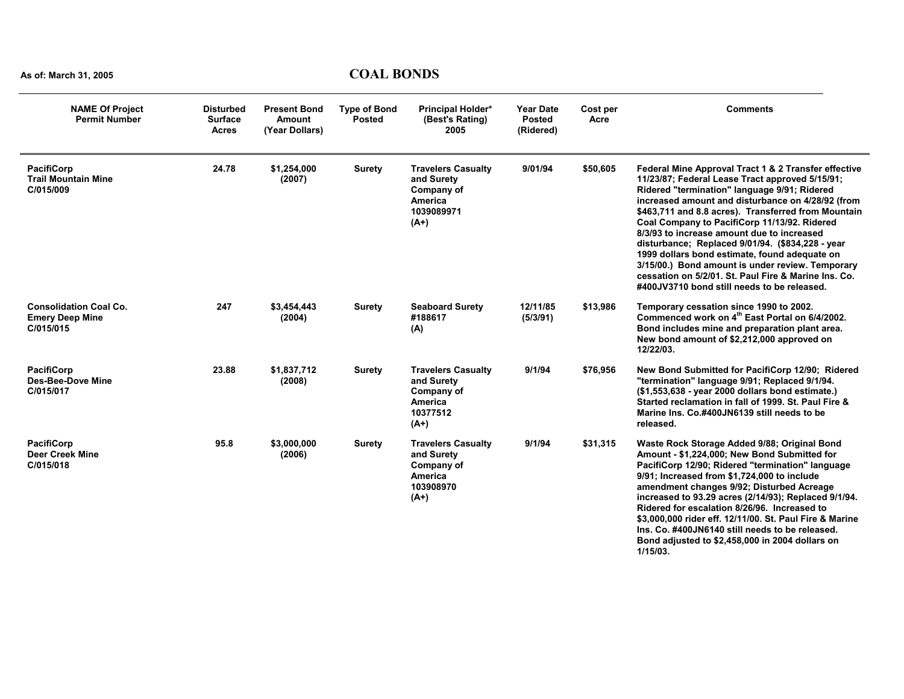| <b>NAME Of Project</b><br><b>Permit Number</b>                       | <b>Disturbed</b><br><b>Surface</b><br><b>Acres</b> | <b>Present Bond</b><br>Amount<br>(Year Dollars) | <b>Type of Bond</b><br><b>Posted</b> | Principal Holder*<br>(Best's Rating)<br>2005                                             | <b>Year Date</b><br><b>Posted</b><br>(Ridered) | Cost per<br>Acre | <b>Comments</b>                                                                                                                                                                                                                                                                                                                                                                                                                                                                                                                                                                                                                   |
|----------------------------------------------------------------------|----------------------------------------------------|-------------------------------------------------|--------------------------------------|------------------------------------------------------------------------------------------|------------------------------------------------|------------------|-----------------------------------------------------------------------------------------------------------------------------------------------------------------------------------------------------------------------------------------------------------------------------------------------------------------------------------------------------------------------------------------------------------------------------------------------------------------------------------------------------------------------------------------------------------------------------------------------------------------------------------|
| <b>PacifiCorp</b><br><b>Trail Mountain Mine</b><br>C/015/009         | 24.78                                              | \$1,254,000<br>(2007)                           | <b>Surety</b>                        | <b>Travelers Casualty</b><br>and Surety<br>Company of<br>America<br>1039089971<br>$(A+)$ | 9/01/94                                        | \$50,605         | Federal Mine Approval Tract 1 & 2 Transfer effective<br>11/23/87; Federal Lease Tract approved 5/15/91;<br>Ridered "termination" language 9/91; Ridered<br>increased amount and disturbance on 4/28/92 (from<br>\$463,711 and 8.8 acres). Transferred from Mountain<br>Coal Company to PacifiCorp 11/13/92. Ridered<br>8/3/93 to increase amount due to increased<br>disturbance; Replaced 9/01/94. (\$834,228 - year<br>1999 dollars bond estimate, found adequate on<br>3/15/00.) Bond amount is under review. Temporary<br>cessation on 5/2/01. St. Paul Fire & Marine Ins. Co.<br>#400JV3710 bond still needs to be released. |
| <b>Consolidation Coal Co.</b><br><b>Emery Deep Mine</b><br>C/015/015 | 247                                                | \$3,454,443<br>(2004)                           | <b>Surety</b>                        | <b>Seaboard Surety</b><br>#188617<br>(A)                                                 | 12/11/85<br>(5/3/91)                           | \$13,986         | Temporary cessation since 1990 to 2002.<br>Commenced work on 4 <sup>th</sup> East Portal on 6/4/2002.<br>Bond includes mine and preparation plant area.<br>New bond amount of \$2,212,000 approved on<br>12/22/03.                                                                                                                                                                                                                                                                                                                                                                                                                |
| <b>PacifiCorp</b><br>Des-Bee-Dove Mine<br>C/015/017                  | 23.88                                              | \$1,837,712<br>(2008)                           | <b>Surety</b>                        | <b>Travelers Casualty</b><br>and Surety<br>Company of<br>America<br>10377512<br>$(A+)$   | 9/1/94                                         | \$76,956         | New Bond Submitted for PacifiCorp 12/90; Ridered<br>"termination" language 9/91; Replaced 9/1/94.<br>(\$1,553,638 - year 2000 dollars bond estimate.)<br>Started reclamation in fall of 1999. St. Paul Fire &<br>Marine Ins. Co.#400JN6139 still needs to be<br>released.                                                                                                                                                                                                                                                                                                                                                         |
| <b>PacifiCorp</b><br><b>Deer Creek Mine</b><br>C/015/018             | 95.8                                               | \$3.000.000<br>(2006)                           | <b>Surety</b>                        | <b>Travelers Casualty</b><br>and Surety<br>Company of<br>America<br>103908970<br>$(A+)$  | 9/1/94                                         | \$31,315         | Waste Rock Storage Added 9/88; Original Bond<br>Amount - \$1,224,000; New Bond Submitted for<br>PacifiCorp 12/90; Ridered "termination" language<br>9/91; Increased from \$1,724,000 to include<br>amendment changes 9/92; Disturbed Acreage<br>increased to 93.29 acres (2/14/93); Replaced 9/1/94.<br>Ridered for escalation 8/26/96. Increased to<br>\$3,000,000 rider eff. 12/11/00. St. Paul Fire & Marine<br>Ins. Co. #400JN6140 still needs to be released.<br>Bond adjusted to \$2,458,000 in 2004 dollars on<br>1/15/03.                                                                                                 |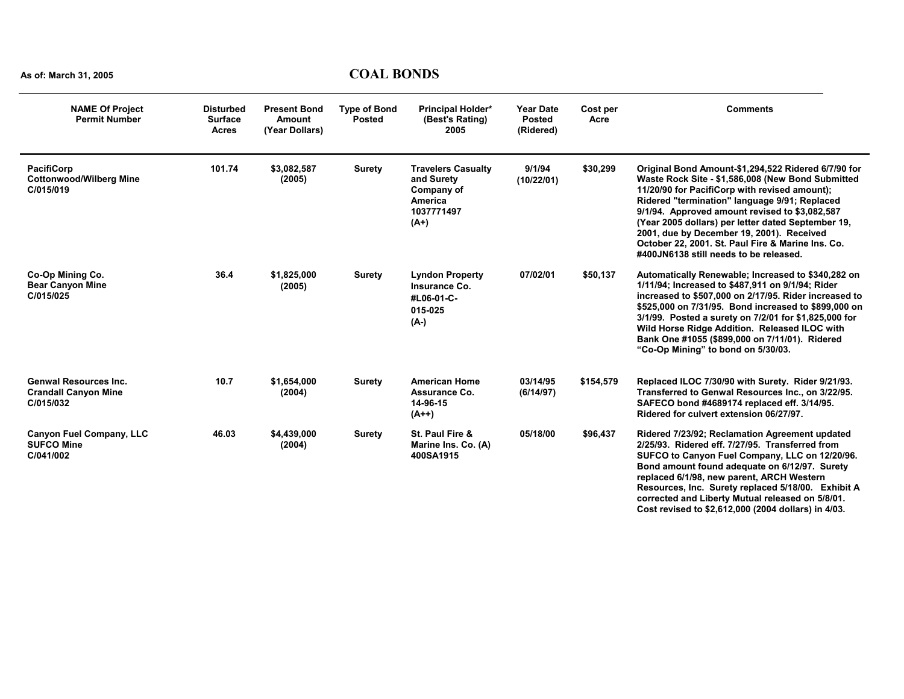| <b>NAME Of Project</b><br><b>Permit Number</b>                           | <b>Disturbed</b><br><b>Surface</b><br><b>Acres</b> | <b>Present Bond</b><br><b>Amount</b><br>(Year Dollars) | <b>Type of Bond</b><br><b>Posted</b> | <b>Principal Holder*</b><br>(Best's Rating)<br>2005                                             | <b>Year Date</b><br><b>Posted</b><br>(Ridered) | Cost per<br>Acre | <b>Comments</b>                                                                                                                                                                                                                                                                                                                                                                                                                                                |
|--------------------------------------------------------------------------|----------------------------------------------------|--------------------------------------------------------|--------------------------------------|-------------------------------------------------------------------------------------------------|------------------------------------------------|------------------|----------------------------------------------------------------------------------------------------------------------------------------------------------------------------------------------------------------------------------------------------------------------------------------------------------------------------------------------------------------------------------------------------------------------------------------------------------------|
| <b>PacifiCorp</b><br><b>Cottonwood/Wilberg Mine</b><br>C/015/019         | 101.74                                             | \$3,082,587<br>(2005)                                  | <b>Surety</b>                        | <b>Travelers Casualty</b><br>and Surety<br>Company of<br><b>America</b><br>1037771497<br>$(A+)$ | 9/1/94<br>(10/22/01)                           | \$30,299         | Original Bond Amount-\$1,294,522 Ridered 6/7/90 for<br>Waste Rock Site - \$1,586,008 (New Bond Submitted<br>11/20/90 for PacifiCorp with revised amount);<br>Ridered "termination" language 9/91; Replaced<br>9/1/94. Approved amount revised to \$3,082,587<br>(Year 2005 dollars) per letter dated September 19,<br>2001, due by December 19, 2001). Received<br>October 22, 2001. St. Paul Fire & Marine Ins. Co.<br>#400JN6138 still needs to be released. |
| Co-Op Mining Co.<br><b>Bear Canyon Mine</b><br>C/015/025                 | 36.4                                               | \$1,825,000<br>(2005)                                  | <b>Surety</b>                        | <b>Lyndon Property</b><br>Insurance Co.<br>#L06-01-C-<br>015-025<br>(A-)                        | 07/02/01                                       | \$50,137         | Automatically Renewable; Increased to \$340,282 on<br>1/11/94; Increased to \$487,911 on 9/1/94; Rider<br>increased to \$507,000 on 2/17/95. Rider increased to<br>\$525,000 on 7/31/95. Bond increased to \$899,000 on<br>3/1/99. Posted a surety on 7/2/01 for \$1,825,000 for<br>Wild Horse Ridge Addition. Released ILOC with<br>Bank One #1055 (\$899,000 on 7/11/01). Ridered<br>"Co-Op Mining" to bond on 5/30/03.                                      |
| <b>Genwal Resources Inc.</b><br><b>Crandall Canyon Mine</b><br>C/015/032 | 10.7                                               | \$1,654,000<br>(2004)                                  | <b>Surety</b>                        | <b>American Home</b><br>Assurance Co.<br>14-96-15<br>$(A++)$                                    | 03/14/95<br>(6/14/97)                          | \$154,579        | Replaced ILOC 7/30/90 with Surety. Rider 9/21/93.<br>Transferred to Genwal Resources Inc., on 3/22/95.<br>SAFECO bond #4689174 replaced eff. 3/14/95.<br>Ridered for culvert extension 06/27/97.                                                                                                                                                                                                                                                               |
| <b>Canyon Fuel Company, LLC</b><br><b>SUFCO Mine</b><br>C/041/002        | 46.03                                              | \$4,439,000<br>(2004)                                  | <b>Surety</b>                        | St. Paul Fire &<br>Marine Ins. Co. (A)<br>400SA1915                                             | 05/18/00                                       | \$96,437         | Ridered 7/23/92; Reclamation Agreement updated<br>2/25/93. Ridered eff. 7/27/95. Transferred from<br>SUFCO to Canyon Fuel Company, LLC on 12/20/96.<br>Bond amount found adequate on 6/12/97. Surety<br>replaced 6/1/98, new parent, ARCH Western<br>Resources, Inc. Surety replaced 5/18/00. Exhibit A<br>corrected and Liberty Mutual released on 5/8/01.<br>Cost revised to \$2,612,000 (2004 dollars) in 4/03.                                             |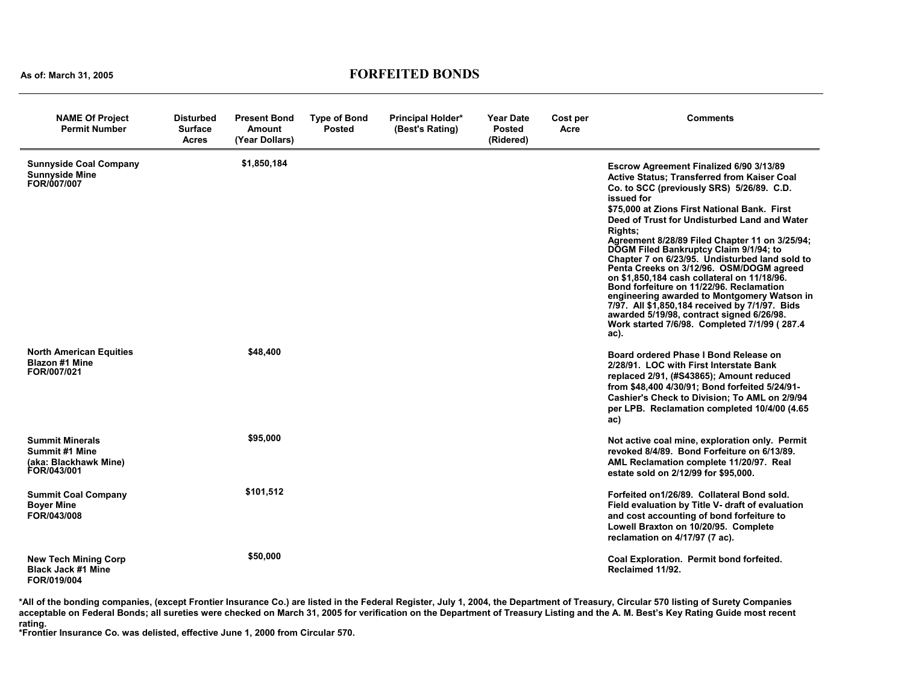#### **As of: March 31, 2005 FORFEITED BONDS**

| <b>NAME Of Project</b><br><b>Permit Number</b>                                          | <b>Disturbed</b><br><b>Surface</b><br><b>Acres</b> | <b>Present Bond</b><br><b>Amount</b><br>(Year Dollars) | <b>Type of Bond</b><br><b>Posted</b> | <b>Principal Holder*</b><br>(Best's Rating) | <b>Year Date</b><br><b>Posted</b><br>(Ridered) | Cost per<br>Acre | Comments                                                                                                                                                                                                                                                                                                                                                                                                                                                                                                                                                                                                                                                                                                                                                                      |
|-----------------------------------------------------------------------------------------|----------------------------------------------------|--------------------------------------------------------|--------------------------------------|---------------------------------------------|------------------------------------------------|------------------|-------------------------------------------------------------------------------------------------------------------------------------------------------------------------------------------------------------------------------------------------------------------------------------------------------------------------------------------------------------------------------------------------------------------------------------------------------------------------------------------------------------------------------------------------------------------------------------------------------------------------------------------------------------------------------------------------------------------------------------------------------------------------------|
| <b>Sunnyside Coal Company</b><br><b>Sunnyside Mine</b><br>FOR/007/007                   |                                                    | \$1,850,184                                            |                                      |                                             |                                                |                  | Escrow Agreement Finalized 6/90 3/13/89<br><b>Active Status; Transferred from Kaiser Coal</b><br>Co. to SCC (previously SRS) 5/26/89. C.D.<br>issued for<br>\$75,000 at Zions First National Bank. First<br>Deed of Trust for Undisturbed Land and Water<br><b>Rights:</b><br>Agreement 8/28/89 Filed Chapter 11 on 3/25/94;<br><b>DOGM Filed Bankruptcy Claim 9/1/94; to</b><br>Chapter 7 on 6/23/95. Undisturbed land sold to<br>Penta Creeks on 3/12/96. OSM/DOGM agreed<br>on \$1,850,184 cash collateral on 11/18/96.<br>Bond forfeiture on 11/22/96. Reclamation<br>engineering awarded to Montgomery Watson in<br>7/97. All \$1,850,184 received by 7/1/97. Bids<br>awarded 5/19/98, contract signed 6/26/98.<br>Work started 7/6/98. Completed 7/1/99 (287.4)<br>ac). |
| <b>North American Equities</b><br><b>Blazon #1 Mine</b><br>FOR/007/021                  |                                                    | \$48,400                                               |                                      |                                             |                                                |                  | Board ordered Phase I Bond Release on<br>2/28/91. LOC with First Interstate Bank<br>replaced 2/91, (#S43865); Amount reduced<br>from \$48,400 4/30/91; Bond forfeited 5/24/91-<br>Cashier's Check to Division; To AML on 2/9/94<br>per LPB. Reclamation completed 10/4/00 (4.65<br>ac)                                                                                                                                                                                                                                                                                                                                                                                                                                                                                        |
| <b>Summit Minerals</b><br><b>Summit #1 Mine</b><br>(aka: Blackhawk Mine)<br>FOR/043/001 |                                                    | \$95,000                                               |                                      |                                             |                                                |                  | Not active coal mine, exploration only. Permit<br>revoked 8/4/89. Bond Forfeiture on 6/13/89.<br>AML Reclamation complete 11/20/97. Real<br>estate sold on 2/12/99 for \$95,000.                                                                                                                                                                                                                                                                                                                                                                                                                                                                                                                                                                                              |
| <b>Summit Coal Company</b><br><b>Boyer Mine</b><br>FOR/043/008                          |                                                    | \$101,512                                              |                                      |                                             |                                                |                  | Forfeited on 1/26/89. Collateral Bond sold.<br>Field evaluation by Title V- draft of evaluation<br>and cost accounting of bond forfeiture to<br>Lowell Braxton on 10/20/95. Complete<br>reclamation on 4/17/97 (7 ac).                                                                                                                                                                                                                                                                                                                                                                                                                                                                                                                                                        |
| <b>New Tech Mining Corp</b><br><b>Black Jack #1 Mine</b><br>FOR/019/004                 |                                                    | \$50,000                                               |                                      |                                             |                                                |                  | Coal Exploration. Permit bond forfeited.<br>Reclaimed 11/92.                                                                                                                                                                                                                                                                                                                                                                                                                                                                                                                                                                                                                                                                                                                  |

**\*All of the bonding companies, (except Frontier Insurance Co.) are listed in the Federal Register, July 1, 2004, the Department of Treasury, Circular 570 listing of Surety Companies acceptable on Federal Bonds; all sureties were checked on March 31, 2005 for verification on the Department of Treasury Listing and the A. M. Best's Key Rating Guide most recent** 

**rating. \*Frontier Insurance Co. was delisted, effective June 1, 2000 from Circular 570.**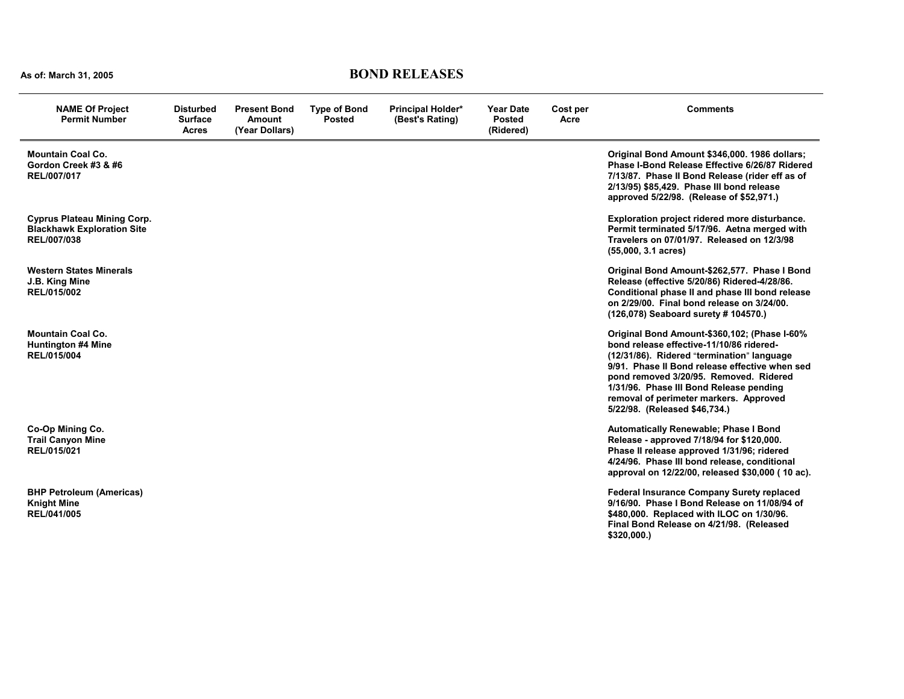## **As of: March 31, 2005 BOND RELEASES**

| <b>NAME Of Project</b><br><b>Permit Number</b>                                         | Disturbed<br><b>Surface</b><br><b>Acres</b> | <b>Present Bond</b><br><b>Amount</b><br>(Year Dollars) | <b>Type of Bond</b><br><b>Posted</b> | <b>Principal Holder*</b><br>(Best's Rating) | <b>Year Date</b><br><b>Posted</b><br>(Ridered) | Cost per<br>Acre | <b>Comments</b>                                                                                                                                                                                                                                                                                                                                          |
|----------------------------------------------------------------------------------------|---------------------------------------------|--------------------------------------------------------|--------------------------------------|---------------------------------------------|------------------------------------------------|------------------|----------------------------------------------------------------------------------------------------------------------------------------------------------------------------------------------------------------------------------------------------------------------------------------------------------------------------------------------------------|
| <b>Mountain Coal Co.</b><br>Gordon Creek #3 & #6<br>REL/007/017                        |                                             |                                                        |                                      |                                             |                                                |                  | Original Bond Amount \$346,000. 1986 dollars;<br>Phase I-Bond Release Effective 6/26/87 Ridered<br>7/13/87. Phase II Bond Release (rider eff as of<br>2/13/95) \$85,429. Phase III bond release<br>approved 5/22/98. (Release of \$52,971.)                                                                                                              |
| <b>Cyprus Plateau Mining Corp.</b><br><b>Blackhawk Exploration Site</b><br>REL/007/038 |                                             |                                                        |                                      |                                             |                                                |                  | Exploration project ridered more disturbance.<br>Permit terminated 5/17/96. Aetna merged with<br>Travelers on 07/01/97. Released on 12/3/98<br>$(55,000, 3.1 \text{ acres})$                                                                                                                                                                             |
| <b>Western States Minerals</b><br>J.B. King Mine<br>REL/015/002                        |                                             |                                                        |                                      |                                             |                                                |                  | Original Bond Amount-\$262,577. Phase I Bond<br>Release (effective 5/20/86) Ridered-4/28/86.<br>Conditional phase II and phase III bond release<br>on 2/29/00. Final bond release on 3/24/00.<br>(126,078) Seaboard surety # 104570.)                                                                                                                    |
| <b>Mountain Coal Co.</b><br><b>Huntington #4 Mine</b><br>REL/015/004                   |                                             |                                                        |                                      |                                             |                                                |                  | Original Bond Amount-\$360,102; (Phase I-60%<br>bond release effective-11/10/86 ridered-<br>(12/31/86). Ridered "termination" language<br>9/91. Phase II Bond release effective when sed<br>pond removed 3/20/95. Removed. Ridered<br>1/31/96. Phase III Bond Release pending<br>removal of perimeter markers. Approved<br>5/22/98. (Released \$46,734.) |
| Co-Op Mining Co.<br><b>Trail Canyon Mine</b><br>REL/015/021                            |                                             |                                                        |                                      |                                             |                                                |                  | Automatically Renewable; Phase I Bond<br>Release - approved 7/18/94 for \$120,000.<br>Phase II release approved 1/31/96; ridered<br>4/24/96. Phase III bond release, conditional<br>approval on 12/22/00, released \$30,000 (10 ac).                                                                                                                     |
| <b>BHP Petroleum (Americas)</b><br><b>Knight Mine</b><br>REL/041/005                   |                                             |                                                        |                                      |                                             |                                                |                  | <b>Federal Insurance Company Surety replaced</b><br>9/16/90. Phase I Bond Release on 11/08/94 of<br>\$480,000. Replaced with ILOC on 1/30/96.<br>Final Bond Release on 4/21/98. (Released<br>\$320,000.                                                                                                                                                  |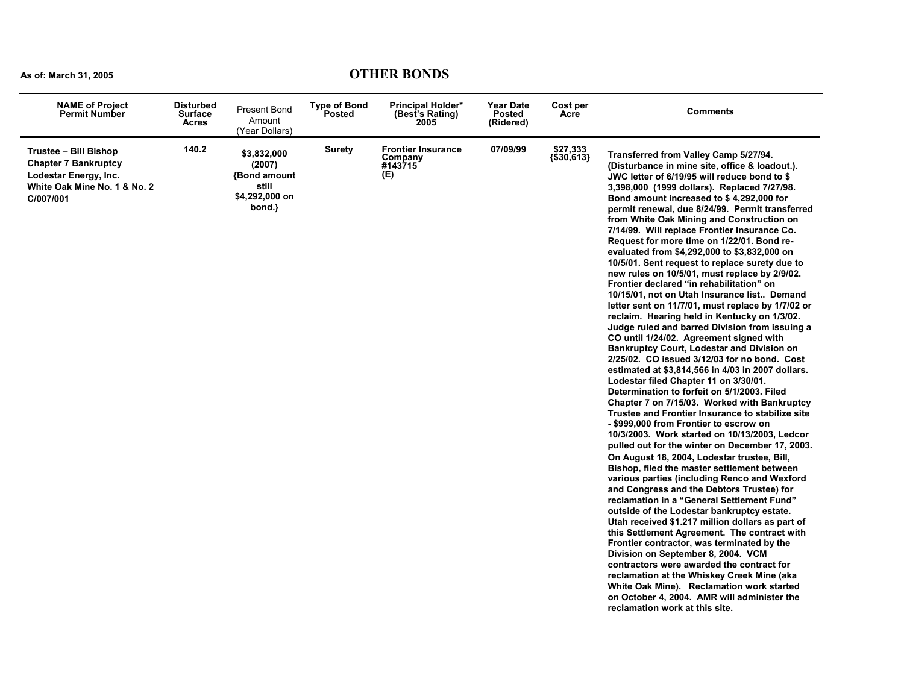### **As of: March 31, 2005 OTHER BONDS**

| <b>NAME of Project</b><br><b>Permit Number</b>                                                                             | <b>Disturbed</b><br><b>Surface</b><br><b>Acres</b> | <b>Present Bond</b><br>Amount<br>(Year Dollars)                                  | <b>Type of Bond</b><br><b>Posted</b> | <b>Principal Holder*</b><br>(Best's Rating)<br>2005    | <b>Year Date</b><br><b>Posted</b><br>(Ridered) | Cost per<br>Acre       | <b>Comments</b>                                                                                                                                                                                                                                                                                                                                                                                                                                                                                                                                                                                                                                                                                                                                                                                                                                                                                                                                                                                                                                                                                                                                                                                                                                                                                                                                                                                                                                                                                                                                                                                                                                                                                                                                                                                                                                                                                                                                                                                                                                                                              |
|----------------------------------------------------------------------------------------------------------------------------|----------------------------------------------------|----------------------------------------------------------------------------------|--------------------------------------|--------------------------------------------------------|------------------------------------------------|------------------------|----------------------------------------------------------------------------------------------------------------------------------------------------------------------------------------------------------------------------------------------------------------------------------------------------------------------------------------------------------------------------------------------------------------------------------------------------------------------------------------------------------------------------------------------------------------------------------------------------------------------------------------------------------------------------------------------------------------------------------------------------------------------------------------------------------------------------------------------------------------------------------------------------------------------------------------------------------------------------------------------------------------------------------------------------------------------------------------------------------------------------------------------------------------------------------------------------------------------------------------------------------------------------------------------------------------------------------------------------------------------------------------------------------------------------------------------------------------------------------------------------------------------------------------------------------------------------------------------------------------------------------------------------------------------------------------------------------------------------------------------------------------------------------------------------------------------------------------------------------------------------------------------------------------------------------------------------------------------------------------------------------------------------------------------------------------------------------------------|
| Trustee - Bill Bishop<br><b>Chapter 7 Bankruptcy</b><br>Lodestar Energy, Inc.<br>White Oak Mine No. 1 & No. 2<br>C/007/001 | 140.2                                              | \$3,832,000<br>(2007)<br><b>Bond amount</b><br>still<br>\$4,292,000 on<br>bond.} | <b>Surety</b>                        | <b>Frontier Insurance</b><br>Company<br>#143715<br>(E) | 07/09/99                                       | \$27,333<br>{\$30,613} | Transferred from Valley Camp 5/27/94.<br>(Disturbance in mine site, office & loadout.).<br>JWC letter of 6/19/95 will reduce bond to \$<br>3,398,000 (1999 dollars). Replaced 7/27/98.<br>Bond amount increased to \$4,292,000 for<br>permit renewal, due 8/24/99. Permit transferred<br>from White Oak Mining and Construction on<br>7/14/99. Will replace Frontier Insurance Co.<br>Request for more time on 1/22/01. Bond re-<br>evaluated from \$4,292,000 to \$3,832,000 on<br>10/5/01. Sent request to replace surety due to<br>new rules on 10/5/01, must replace by 2/9/02.<br>Frontier declared "in rehabilitation" on<br>10/15/01, not on Utah Insurance list Demand<br>letter sent on 11/7/01, must replace by 1/7/02 or<br>reclaim. Hearing held in Kentucky on 1/3/02.<br>Judge ruled and barred Division from issuing a<br>CO until 1/24/02. Agreement signed with<br><b>Bankruptcy Court, Lodestar and Division on</b><br>2/25/02. CO issued 3/12/03 for no bond. Cost<br>estimated at \$3,814,566 in 4/03 in 2007 dollars.<br>Lodestar filed Chapter 11 on 3/30/01.<br>Determination to forfeit on 5/1/2003. Filed<br>Chapter 7 on 7/15/03. Worked with Bankruptcy<br>Trustee and Frontier Insurance to stabilize site<br>- \$999,000 from Frontier to escrow on<br>10/3/2003. Work started on 10/13/2003, Ledcor<br>pulled out for the winter on December 17, 2003.<br>On August 18, 2004, Lodestar trustee, Bill,<br>Bishop, filed the master settlement between<br>various parties (including Renco and Wexford<br>and Congress and the Debtors Trustee) for<br>reclamation in a "General Settlement Fund"<br>outside of the Lodestar bankruptcy estate.<br>Utah received \$1.217 million dollars as part of<br>this Settlement Agreement. The contract with<br>Frontier contractor, was terminated by the<br>Division on September 8, 2004. VCM<br>contractors were awarded the contract for<br>reclamation at the Whiskey Creek Mine (aka<br>White Oak Mine). Reclamation work started<br>on October 4, 2004. AMR will administer the<br>reclamation work at this site. |